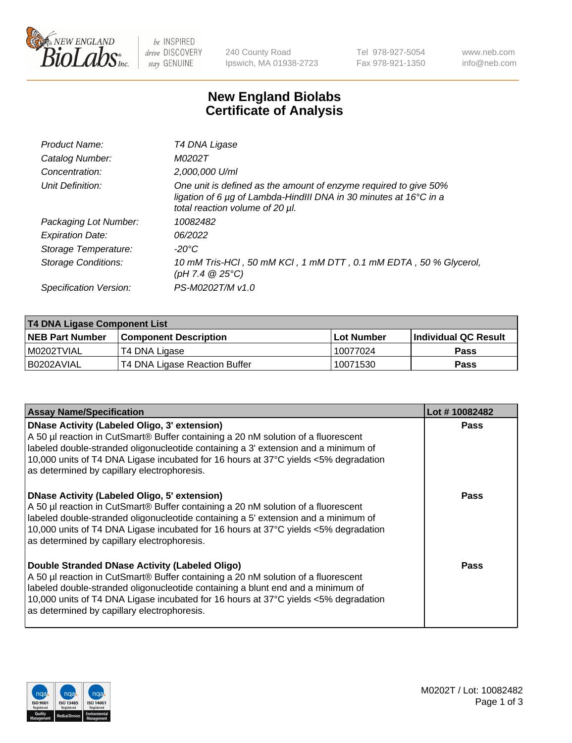

be INSPIRED drive DISCOVERY stay GENUINE

240 County Road Ipswich, MA 01938-2723 Tel 978-927-5054 Fax 978-921-1350 www.neb.com info@neb.com

## **New England Biolabs Certificate of Analysis**

| Product Name:           | T4 DNA Ligase                                                                                                                                                            |
|-------------------------|--------------------------------------------------------------------------------------------------------------------------------------------------------------------------|
| Catalog Number:         | M0202T                                                                                                                                                                   |
| Concentration:          | 2,000,000 U/ml                                                                                                                                                           |
| Unit Definition:        | One unit is defined as the amount of enzyme required to give 50%<br>ligation of 6 µg of Lambda-HindIII DNA in 30 minutes at 16°C in a<br>total reaction volume of 20 µl. |
| Packaging Lot Number:   | 10082482                                                                                                                                                                 |
| <b>Expiration Date:</b> | 06/2022                                                                                                                                                                  |
| Storage Temperature:    | -20°C                                                                                                                                                                    |
| Storage Conditions:     | 10 mM Tris-HCl, 50 mM KCl, 1 mM DTT, 0.1 mM EDTA, 50 % Glycerol,<br>$(pH 7.4 \ @ 25^{\circ}C)$                                                                           |
| Specification Version:  | PS-M0202T/M v1.0                                                                                                                                                         |

| <b>T4 DNA Ligase Component List</b> |                               |              |                             |  |  |
|-------------------------------------|-------------------------------|--------------|-----------------------------|--|--|
| <b>NEB Part Number</b>              | <b>Component Description</b>  | l Lot Number | <b>Individual QC Result</b> |  |  |
| I M0202TVIAL                        | T4 DNA Ligase                 | 10077024     | <b>Pass</b>                 |  |  |
| I B0202AVIAL                        | T4 DNA Ligase Reaction Buffer | 10071530     | <b>Pass</b>                 |  |  |

| <b>Assay Name/Specification</b>                                                                                                                                                                                                                                                                                                                                      | Lot #10082482 |
|----------------------------------------------------------------------------------------------------------------------------------------------------------------------------------------------------------------------------------------------------------------------------------------------------------------------------------------------------------------------|---------------|
| <b>DNase Activity (Labeled Oligo, 3' extension)</b><br>A 50 µl reaction in CutSmart® Buffer containing a 20 nM solution of a fluorescent<br>labeled double-stranded oligonucleotide containing a 3' extension and a minimum of<br>10,000 units of T4 DNA Ligase incubated for 16 hours at 37°C yields <5% degradation<br>as determined by capillary electrophoresis. | <b>Pass</b>   |
| <b>DNase Activity (Labeled Oligo, 5' extension)</b><br>A 50 µl reaction in CutSmart® Buffer containing a 20 nM solution of a fluorescent<br>labeled double-stranded oligonucleotide containing a 5' extension and a minimum of<br>10,000 units of T4 DNA Ligase incubated for 16 hours at 37°C yields <5% degradation<br>as determined by capillary electrophoresis. | Pass          |
| Double Stranded DNase Activity (Labeled Oligo)<br>A 50 µl reaction in CutSmart® Buffer containing a 20 nM solution of a fluorescent<br>labeled double-stranded oligonucleotide containing a blunt end and a minimum of<br>10,000 units of T4 DNA Ligase incubated for 16 hours at 37°C yields <5% degradation<br>as determined by capillary electrophoresis.         | Pass          |

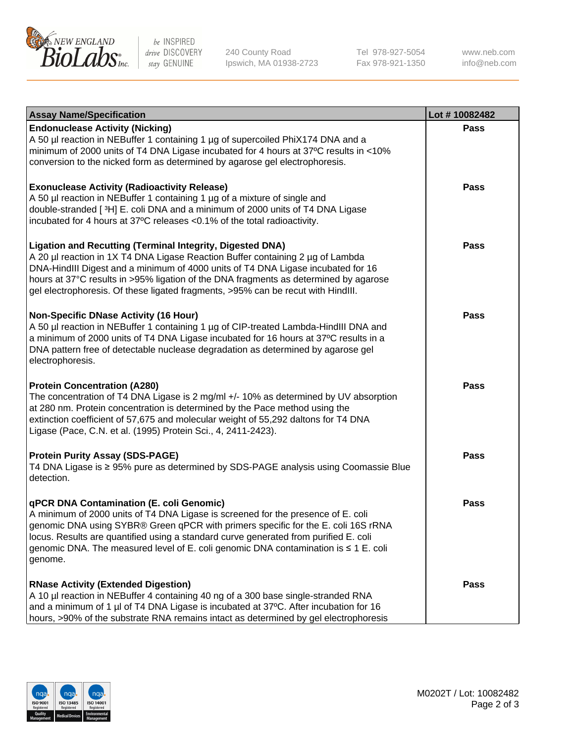

be INSPIRED drive DISCOVERY stay GENUINE

240 County Road Ipswich, MA 01938-2723 Tel 978-927-5054 Fax 978-921-1350

www.neb.com info@neb.com

| <b>Assay Name/Specification</b>                                                                                                                                                                                                                                                                                                                                                                                    | Lot #10082482 |
|--------------------------------------------------------------------------------------------------------------------------------------------------------------------------------------------------------------------------------------------------------------------------------------------------------------------------------------------------------------------------------------------------------------------|---------------|
| <b>Endonuclease Activity (Nicking)</b><br>A 50 µl reaction in NEBuffer 1 containing 1 µg of supercoiled PhiX174 DNA and a<br>minimum of 2000 units of T4 DNA Ligase incubated for 4 hours at 37°C results in <10%<br>conversion to the nicked form as determined by agarose gel electrophoresis.                                                                                                                   | <b>Pass</b>   |
| <b>Exonuclease Activity (Radioactivity Release)</b><br>A 50 µl reaction in NEBuffer 1 containing 1 µg of a mixture of single and<br>double-stranded [3H] E. coli DNA and a minimum of 2000 units of T4 DNA Ligase<br>incubated for 4 hours at 37°C releases <0.1% of the total radioactivity.                                                                                                                      | <b>Pass</b>   |
| <b>Ligation and Recutting (Terminal Integrity, Digested DNA)</b><br>A 20 µl reaction in 1X T4 DNA Ligase Reaction Buffer containing 2 µg of Lambda<br>DNA-HindIII Digest and a minimum of 4000 units of T4 DNA Ligase incubated for 16<br>hours at 37°C results in >95% ligation of the DNA fragments as determined by agarose<br>gel electrophoresis. Of these ligated fragments, >95% can be recut with HindIII. | <b>Pass</b>   |
| <b>Non-Specific DNase Activity (16 Hour)</b><br>A 50 µl reaction in NEBuffer 1 containing 1 µg of CIP-treated Lambda-HindIII DNA and<br>a minimum of 2000 units of T4 DNA Ligase incubated for 16 hours at 37°C results in a<br>DNA pattern free of detectable nuclease degradation as determined by agarose gel<br>electrophoresis.                                                                               | <b>Pass</b>   |
| <b>Protein Concentration (A280)</b><br>The concentration of T4 DNA Ligase is 2 mg/ml +/- 10% as determined by UV absorption<br>at 280 nm. Protein concentration is determined by the Pace method using the<br>extinction coefficient of 57,675 and molecular weight of 55,292 daltons for T4 DNA<br>Ligase (Pace, C.N. et al. (1995) Protein Sci., 4, 2411-2423).                                                  | <b>Pass</b>   |
| <b>Protein Purity Assay (SDS-PAGE)</b><br>T4 DNA Ligase is ≥ 95% pure as determined by SDS-PAGE analysis using Coomassie Blue<br>detection.                                                                                                                                                                                                                                                                        | <b>Pass</b>   |
| qPCR DNA Contamination (E. coli Genomic)<br>A minimum of 2000 units of T4 DNA Ligase is screened for the presence of E. coli<br>genomic DNA using SYBR® Green qPCR with primers specific for the E. coli 16S rRNA<br>locus. Results are quantified using a standard curve generated from purified E. coli<br>genomic DNA. The measured level of E. coli genomic DNA contamination is ≤ 1 E. coli<br>genome.        | Pass          |
| <b>RNase Activity (Extended Digestion)</b><br>A 10 µl reaction in NEBuffer 4 containing 40 ng of a 300 base single-stranded RNA<br>and a minimum of 1 µl of T4 DNA Ligase is incubated at 37°C. After incubation for 16<br>hours, >90% of the substrate RNA remains intact as determined by gel electrophoresis                                                                                                    | <b>Pass</b>   |